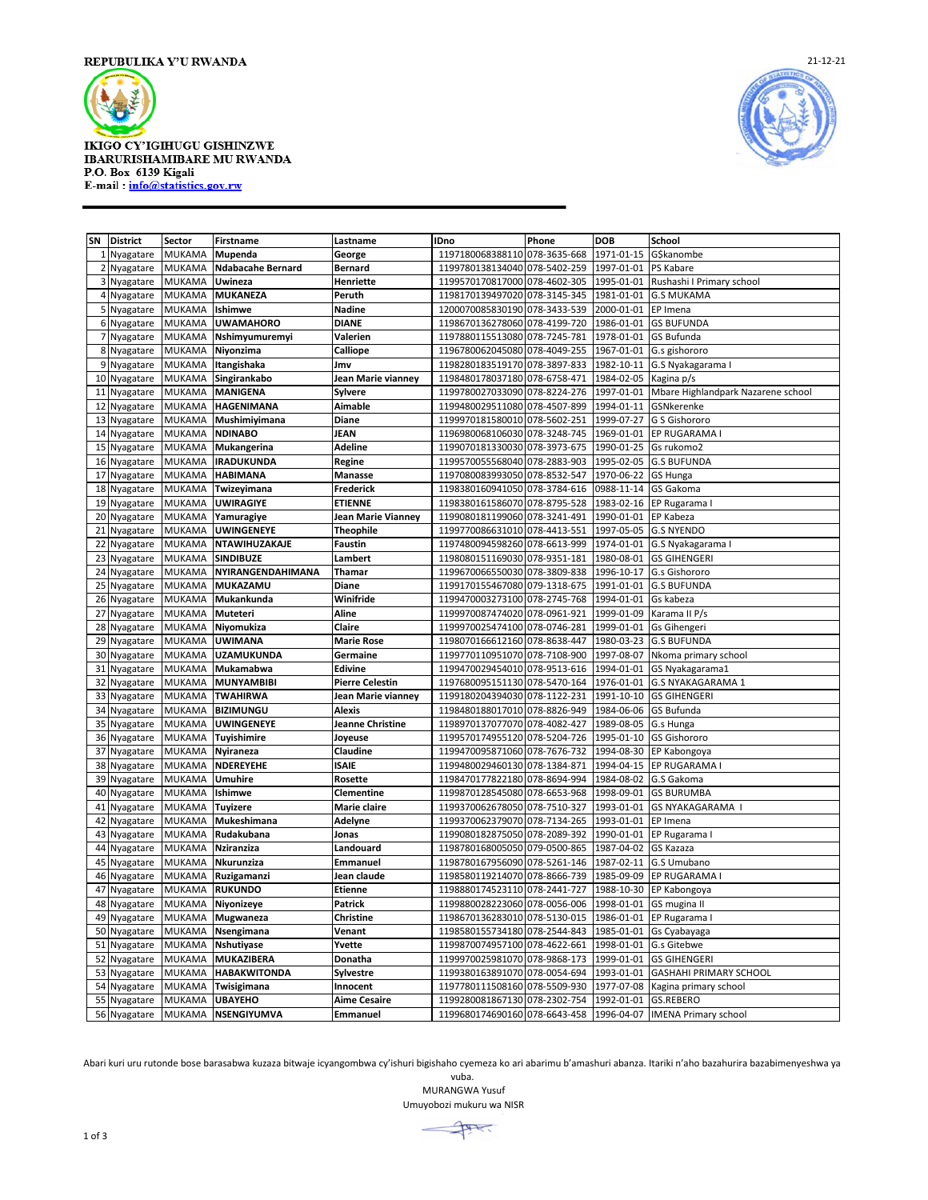

**IKIGO CY'IGIHUGU GISHINZWE IBARURISHAMIBARE MU RWANDA** P.O. Box 6139 Kigali<br>E-mail: info@statistics.gov.rw



| SN             | <b>District</b>        | Sector                  | <b>Firstname</b>              | Lastname               | <b>IDno</b>                          | Phone                        | <b>DOB</b>               | School                             |
|----------------|------------------------|-------------------------|-------------------------------|------------------------|--------------------------------------|------------------------------|--------------------------|------------------------------------|
|                | 1 Nyagatare            | <b>MUKAMA</b>           | Mupenda                       | George                 | 1197180068388110                     | 078-3635-668                 | 1971-01-15               | G\$kanombe                         |
| 2              | Nyagatare              | MUKAMA                  | <b>Ndabacahe Bernard</b>      | <b>Bernard</b>         | 1199780138134040                     | 078-5402-259                 | 1997-01-01               | PS Kabare                          |
|                | 3 Nyagatare            | MUKAMA                  | Uwineza                       | <b>Henriette</b>       | 1199570170817000                     | 078-4602-305                 | 1995-01-01               | Rushashi I Primary school          |
|                | 4 Nyagatare            | <b>MUKAMA</b>           | <b>MUKANEZA</b>               | Peruth                 | 1198170139497020                     | 078-3145-345                 | 1981-01-01               | <b>G.S MUKAMA</b>                  |
|                | 5 Nyagatare            | MUKAMA                  | Ishimwe                       | <b>Nadine</b>          | 1200070085830190                     | 078-3433-539                 | 2000-01-01               | EP Imena                           |
|                | 6 Nyagatare            | MUKAMA                  | <b>UWAMAHORO</b>              | <b>DIANE</b>           | 1198670136278060                     | 078-4199-720                 | 1986-01-01               | <b>GS BUFUNDA</b>                  |
| $\overline{7}$ | Nyagatare              | MUKAMA                  | Nshimyumuremyi                | Valerien               | 1197880115513080                     | 078-7245-781                 | 1978-01-01               | GS Bufunda                         |
| 8              | Nyagatare              | <b>MUKAMA</b>           | Niyonzima                     | Calliope               | 1196780062045080                     | 078-4049-255                 | 1967-01-01               | G.s gishororo                      |
| 9              | Nyagatare              | <b>MUKAMA</b>           | Itangishaka                   | Jmv                    | 1198280183519170 078-3897-833        |                              | 1982-10-11               | G.S Nyakagarama I                  |
| 10             | Nyagatare              | MUKAMA                  | Singirankabo                  | Jean Marie vianney     | 1198480178037180                     | 078-6758-471                 | 1984-02-05               | Kagina p/s                         |
| 11             | Nyagatare              | MUKAMA                  | <b>MANIGENA</b>               | Sylvere                | 1199780027033090                     | 078-8224-276                 | 1997-01-01               | Mbare Highlandpark Nazarene school |
| 12             | Nyagatare              | <b>MUKAMA</b>           | <b>HAGENIMANA</b>             | <b>Aimable</b>         | 1199480029511080                     | 078-4507-899                 | 1994-01-11               | GSNkerenke                         |
| 13             | Nyagatare              | MUKAMA                  | Mushimiyimana                 | Diane                  | 1199970181580010 078-5602-251        |                              | 1999-07-27               | G S Gishororo                      |
| 14             | Nyagatare              | <b>MUKAMA</b>           | <b>NDINABO</b>                | JEAN                   | 1196980068106030                     | 078-3248-745                 | 1969-01-01               | EP RUGARAMA                        |
| 15             | Nyagatare              | MUKAMA                  | Mukangerina                   | Adeline                | 1199070181330030                     | 078-3973-675                 | 1990-01-25               | Gs rukomo2                         |
| 16             | Nyagatare              | <b>MUKAMA</b>           | <b>IRADUKUNDA</b>             | Regine                 | 1199570055568040 078-2883-903        |                              | 1995-02-05               | <b>G.S BUFUNDA</b>                 |
| 17             | Nyagatare              | <b>MUKAMA</b>           | <b>HABIMANA</b>               | Manasse                | 1197080083993050 078-8532-547        |                              | 1970-06-22               | <b>GS Hunga</b>                    |
| 18             | Nyagatare              | MUKAMA                  | Twizeyimana                   | Frederick              | 1198380160941050                     | 078-3784-616                 | 0988-11-14               | GS Gakoma                          |
| 19             | Nyagatare              | MUKAMA                  | <b>UWIRAGIYE</b>              | <b>ETIENNE</b>         | 1198380161586070 078-8795-528        |                              | 1983-02-16               | EP Rugarama I                      |
| 20             | Nyagatare              | <b>MUKAMA</b>           | Yamuragiye                    | Jean Marie Vianney     | 1199080181199060 078-3241-491        |                              | 1990-01-01               | EP Kabeza                          |
| 21             | Nyagatare              | <b>MUKAMA</b>           | <b>UWINGENEYE</b>             | <b>Theophile</b>       | 1199770086631010                     | 078-4413-551                 | 1997-05-05               | <b>G.S NYENDO</b>                  |
| 22             | Nyagatare              | MUKAMA                  | <b>NTAWIHUZAKAJE</b>          | <b>Faustin</b>         | 1197480094598260 078-6613-999        |                              | 1974-01-01               | G.S Nyakagarama I                  |
| 23             | Nyagatare              | MUKAMA                  | <b>SINDIBUZE</b>              | Lambert                | 1198080151169030                     | 078-9351-181                 | 1980-08-01               | <b>GS GIHENGERI</b>                |
| 24             | Nyagatare              | <b>MUKAMA</b>           | NYIRANGENDAHIMANA             | Thamar                 | 1199670066550030                     | 078-3809-838                 | 1996-10-17               | G.s Gishororo                      |
| 25             | Nyagatare              | <b>MUKAMA</b>           | MUKAZAMU                      | <b>Diane</b>           | 1199170155467080 079-1318-675        |                              | 1991-01-01               | <b>G.S BUFUNDA</b>                 |
| 26             | Nyagatare              | MUKAMA                  | Mukankunda                    | Winifride              | 1199470003273100                     | 078-2745-768                 | 1994-01-01               | Gs kabeza                          |
| 27             | Nyagatare              | <b>MUKAMA</b>           | Muteteri                      | Aline                  | 1199970087474020 078-0961-921        |                              | 1999-01-09               | Karama II P/s                      |
| 28             | Nyagatare              | MUKAMA                  | Niyomukiza                    | Claire                 | 1199970025474100                     | 078-0746-281                 | 1999-01-01               | Gs Gihengeri                       |
| 29             | Nyagatare              | <b>MUKAMA</b>           | <b>UWIMANA</b>                | <b>Marie Rose</b>      | 1198070166612160 078-8638-447        |                              | 1980-03-23               | <b>G.S BUFUNDA</b>                 |
| 30             | Nyagatare              | <b>MUKAMA</b>           | <b>UZAMUKUNDA</b>             | Germaine               | 1199770110951070 078-7108-900        |                              | 1997-08-07               | Nkoma primary school               |
| 31             | Nyagatare              | <b>MUKAMA</b>           | Mukamabwa                     | Edivine                | 1199470029454010                     | 078-9513-616                 | 1994-01-01               | GS Nyakagarama1                    |
| 32             | Nyagatare              | MUKAMA                  | <b>MUNYAMBIBI</b>             | <b>Pierre Celestin</b> | 1197680095151130 078-5470-164        |                              | 1976-01-01               | G.S NYAKAGARAMA 1                  |
| 33             | Nyagatare              | <b>MUKAMA</b>           | <b>TWAHIRWA</b>               | Jean Marie vianney     | 1199180204394030 078-1122-231        |                              | 1991-10-10               | <b>GS GIHENGERI</b>                |
| 34             | Nyagatare              | MUKAMA                  | <b>BIZIMUNGU</b>              | <b>Alexis</b>          | 1198480188017010                     | 078-8826-949                 | 1984-06-06               | GS Bufunda                         |
| 35             | Nyagatare              | <b>MUKAMA</b>           | <b>UWINGENEYE</b>             | Jeanne Christine       | 1198970137077070                     | 078-4082-427                 | 1989-08-05               | G.s Hunga                          |
| 36<br>37       | Nyagatare              | MUKAMA<br><b>MUKAMA</b> | Tuyishimire                   | Joyeuse<br>Claudine    | 1199570174955120<br>1199470095871060 | 078-5204-726<br>078-7676-732 | 1995-01-10<br>1994-08-30 | GS Gishororo                       |
| 38             | Nyagatare              | <b>MUKAMA</b>           | <b>Nyiraneza</b><br>NDEREYEHE | <b>ISAIE</b>           | 1199480029460130 078-1384-871        |                              | 1994-04-15               | EP Kabongoya<br>EP RUGARAMA I      |
| 39             | Nyagatare              | <b>MUKAMA</b>           | Umuhire                       | <b>Rosette</b>         | 1198470177822180                     | 078-8694-994                 | 1984-08-02               | G.S Gakoma                         |
| 40             | Nyagatare<br>Nyagatare | <b>MUKAMA</b>           | Ishimwe                       | <b>Clementine</b>      | 1199870128545080                     | 078-6653-968                 | 1998-09-01               | <b>GS BURUMBA</b>                  |
| 41             | Nyagatare              | MUKAMA                  | <b>Tuyizere</b>               | Marie claire           | 1199370062678050                     | 078-7510-327                 | 1993-01-01               | GS NYAKAGARAMA I                   |
| 42             | Nyagatare              | <b>MUKAMA</b>           | Mukeshimana                   | Adelyne                | 1199370062379070                     | 078-7134-265                 | 1993-01-01               | EP Imena                           |
| 43             | Nyagatare              | <b>MUKAMA</b>           | Rudakubana                    | Jonas                  | 1199080182875050                     | 078-2089-392                 | 1990-01-01               | EP Rugarama I                      |
| 44             | Nyagatare              | MUKAMA                  | Nziranziza                    | Landouard              | 1198780168005050                     | 079-0500-865                 | 1987-04-02               | GS Kazaza                          |
| 45             | Nyagatare              | MUKAMA                  | Nkurunziza                    | Emmanuel               | 1198780167956090                     | 078-5261-146                 | 1987-02-11               | G.S Umubano                        |
| 46             | Nyagatare              | <b>MUKAMA</b>           | Ruzigamanzi                   | Jean claude            | 1198580119214070 078-8666-739        |                              | 1985-09-09               | EP RUGARAMA I                      |
| 47             | Nyagatare              | <b>MUKAMA</b>           | <b>RUKUNDO</b>                | <b>Etienne</b>         | 1198880174523110 078-2441-727        |                              | 1988-10-30               | EP Kabongoya                       |
| 48             | Nyagatare              | <b>MUKAMA</b>           | Niyonizeye                    | Patrick                | 1199880028223060 078-0056-006        |                              | 1998-01-01               | GS mugina II                       |
| 49             | Nyagatare              | MUKAMA                  | Mugwaneza                     | <b>Christine</b>       | 1198670136283010                     | 078-5130-015                 | 1986-01-01               | EP Rugarama I                      |
| 50             | Nyagatare              | <b>MUKAMA</b>           | Nsengimana                    | Venant                 | 1198580155734180                     | 078-2544-843                 | 1985-01-01               | Gs Cyabayaga                       |
| 51             | Nyagatare              | <b>MUKAMA</b>           | Nshutiyase                    | Yvette                 | 1199870074957100 078-4622-661        |                              | 1998-01-01               | G.s Gitebwe                        |
| 52             | Nyagatare              | <b>MUKAMA</b>           | <b>MUKAZIBERA</b>             | Donatha                | 1199970025981070                     | 078-9868-173                 | 1999-01-01               | <b>GS GIHENGERI</b>                |
| 53             | Nyagatare              | <b>MUKAMA</b>           | <b>HABAKWITONDA</b>           | Sylvestre              | 1199380163891070                     | 078-0054-694                 | 1993-01-01               | <b>GASHAHI PRIMARY SCHOOL</b>      |
| 54             | Nyagatare              | <b>MUKAMA</b>           | Twisigimana                   | Innocent               | 1197780111508160 078-5509-930        |                              | 1977-07-08               | Kagina primary school              |
| 55             | Nyagatare              | <b>MUKAMA</b>           | <b>UBAYEHO</b>                | <b>Aime Cesaire</b>    | 1199280081867130 078-2302-754        |                              | 1992-01-01               | GS.REBERO                          |
|                | 56 Nyagatare           | <b>MUKAMA</b>           | <b>NSENGIYUMVA</b>            | Emmanuel               | 1199680174690160 078-6643-458        |                              | 1996-04-07               | <b>IMENA Primary school</b>        |

Abari kuri uru rutonde bose barasabwa kuzaza bitwaje icyangombwa cy'ishuri bigishaho cyemeza ko ari abarimu b'amashuri abanza. Itariki n'aho bazahurira bazabimenyeshwa ya

vuba. MURANGWA Yusuf Umuyobozi mukuru wa NISR

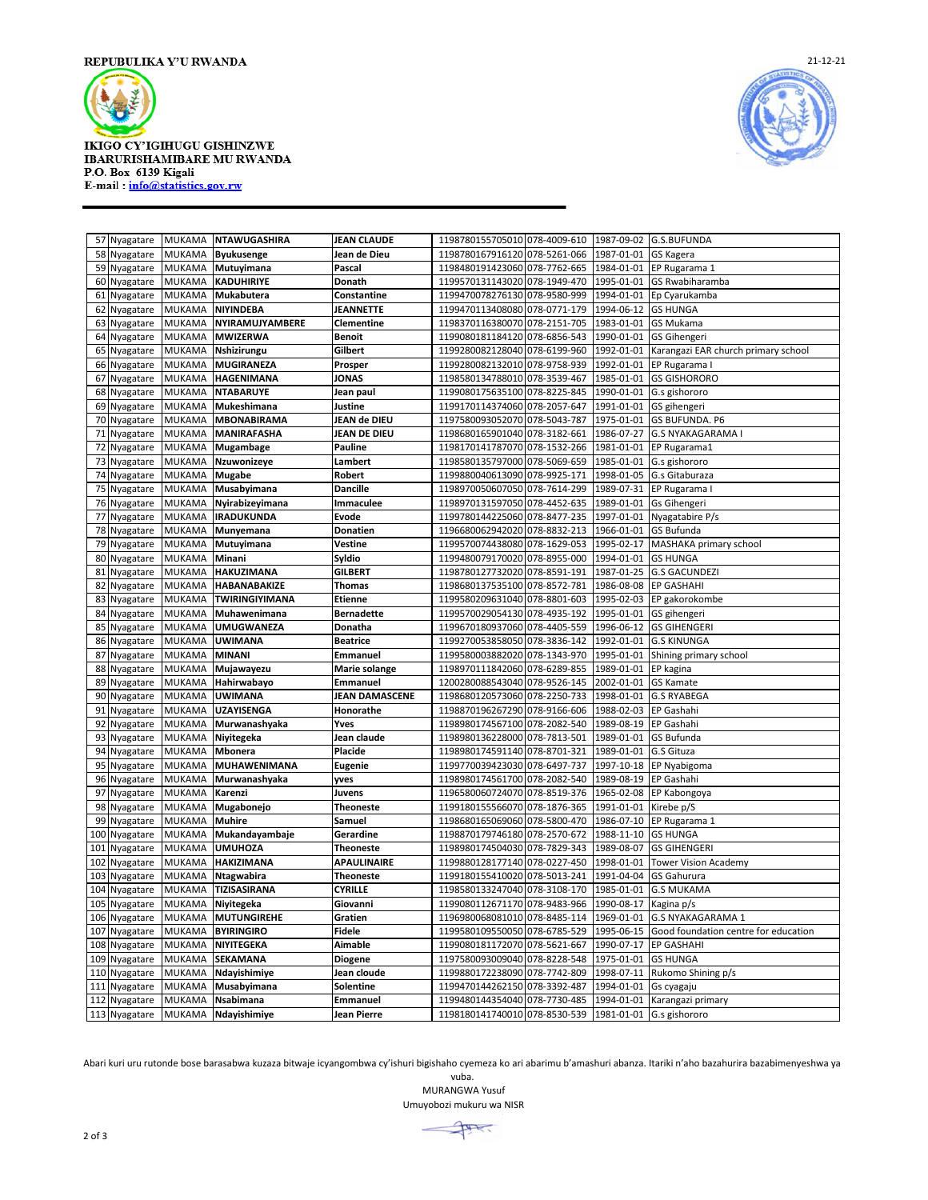

**IKIGO CY'IGIHUGU GISHINZWE** IBARURISHAMIBARE MU RWANDA P.O. Box 6139 Kigali E-mail: info@statistics.gov.rw



|     | 57 Nyagatare  | <b>MUKAMA</b> | <b>NTAWUGASHIRA</b> | <b>JEAN CLAUDE</b>  | 1198780155705010 078-4009-610 1987-09-02 G.S.BUFUNDA |              |            |                                      |
|-----|---------------|---------------|---------------------|---------------------|------------------------------------------------------|--------------|------------|--------------------------------------|
| 58  | Nyagatare     | <b>MUKAMA</b> | <b>Byukusenge</b>   | Jean de Dieu        | 1198780167916120 078-5261-066                        |              | 1987-01-01 | GS Kagera                            |
| 59  | Nyagatare     | MUKAMA        | Mutuyimana          | Pascal              | 1198480191423060 078-7762-665                        |              | 1984-01-01 | EP Rugarama 1                        |
|     | 60 Nyagatare  | MUKAMA        | <b>KADUHIRIYE</b>   | Donath              | 1199570131143020 078-1949-470                        |              | 1995-01-01 | <b>GS Rwabiharamba</b>               |
| 61  | Nyagatare     | <b>MUKAMA</b> | Mukabutera          | Constantine         | 1199470078276130                                     | 078-9580-999 | 1994-01-01 | Ep Cyarukamba                        |
| 62  | Nyagatare     | <b>MUKAMA</b> | NIYINDEBA           | JEANNETTE           | 1199470113408080 078-0771-179                        |              | 1994-06-12 | <b>GS HUNGA</b>                      |
| 63  | Nyagatare     | <b>MUKAMA</b> | NYIRAMUJYAMBERE     | Clementine          | 1198370116380070                                     | 078-2151-705 | 1983-01-01 | <b>GS Mukama</b>                     |
| 64  | Nyagatare     | <b>MUKAMA</b> | <b>MWIZERWA</b>     | <b>Benoit</b>       | 1199080181184120 078-6856-543                        |              | 1990-01-01 | <b>GS Gihengeri</b>                  |
| 65  | Nyagatare     | MUKAMA        | Nshizirungu         | Gilbert             | 1199280082128040 078-6199-960                        |              | 1992-01-01 | Karangazi EAR church primary school  |
| 66  | Nyagatare     | <b>MUKAMA</b> | MUGIRANEZA          | Prosper             | 1199280082132010 078-9758-939                        |              | 1992-01-01 | EP Rugarama                          |
| 67  | Nyagatare     | <b>MUKAMA</b> | <b>HAGENIMANA</b>   | <b>JONAS</b>        | 1198580134788010 078-3539-467                        |              | 1985-01-01 | <b>GS GISHORORO</b>                  |
| 68  | Nyagatare     | <b>MUKAMA</b> | <b>NTABARUYE</b>    | Jean paul           | 1199080175635100                                     | 078-8225-845 | 1990-01-01 | G.s gishororo                        |
| 69  | Nyagatare     | <b>MUKAMA</b> | Mukeshimana         | Justine             | 1199170114374060                                     | 078-2057-647 | 1991-01-01 | GS gihengeri                         |
| 70  | Nyagatare     | MUKAMA        | <b>MBONABIRAMA</b>  | <b>JEAN de DIEU</b> | 1197580093052070 078-5043-787                        |              | 1975-01-01 | <b>GS BUFUNDA. P6</b>                |
| 71  | Nyagatare     | <b>MUKAMA</b> | MANIRAFASHA         | JEAN DE DIEU        | 1198680165901040                                     | 078-3182-661 | 1986-07-27 | <b>G.S NYAKAGARAMA I</b>             |
| 72  | Nyagatare     | <b>MUKAMA</b> | Mugambage           | <b>Pauline</b>      | 1198170141787070                                     | 078-1532-266 | 1981-01-01 | EP Rugarama1                         |
| 73  | Nyagatare     | MUKAMA        | Nzuwonizeye         | Lambert             | 1198580135797000                                     | 078-5069-659 | 1985-01-01 | G.s gishororo                        |
| 74  | Nyagatare     | <b>MUKAMA</b> | <b>Mugabe</b>       | Robert              | 1199880040613090                                     | 078-9925-171 | 1998-01-05 | G.s Gitaburaza                       |
| 75  | Nyagatare     | MUKAMA        | Musabyimana         | Dancille            | 1198970050607050                                     | 078-7614-299 | 1989-07-31 | EP Rugarama                          |
| 76  | Nyagatare     | MUKAMA        | Nyirabizeyimana     | Immaculee           | 1198970131597050                                     | 078-4452-635 | 1989-01-01 | Gs Gihengeri                         |
| 77  | Nyagatare     | <b>MUKAMA</b> | <b>IRADUKUNDA</b>   | Evode               | 1199780144225060                                     | 078-8477-235 | 1997-01-01 | Nyagatabire P/s                      |
| 78  | Nyagatare     | <b>MUKAMA</b> | Munyemana           | Donatien            | 1196680062942020                                     | 078-8832-213 | 1966-01-01 | <b>GS Bufunda</b>                    |
| 79  | Nyagatare     | MUKAMA        | Mutuyimana          | Vestine             | 1199570074438080                                     | 078-1629-053 | 1995-02-17 | MASHAKA primary school               |
| 80  | Nyagatare     | <b>MUKAMA</b> | Minani              | Syldio              | 1199480079170020                                     | 078-8955-000 | 1994-01-01 | <b>GS HUNGA</b>                      |
| 81  | Nyagatare     | MUKAMA        | <b>HAKUZIMANA</b>   | GILBERT             | 1198780127732020 078-8591-191                        |              | 1987-01-25 | <b>G.S GACUNDEZI</b>                 |
| 82  | Nyagatare     | MUKAMA        | HABANABAKIZE        | Thomas              | 1198680137535100                                     | 078-8572-781 | 1986-08-08 | <b>EP GASHAHI</b>                    |
| 83  | Nyagatare     | <b>MUKAMA</b> | TWIRINGIYIMANA      | <b>Etienne</b>      | 1199580209631040                                     | 078-8801-603 | 1995-02-03 | EP gakorokombe                       |
| 84  | Nyagatare     | <b>MUKAMA</b> | Muhawenimana        | <b>Bernadette</b>   | 1199570029054130                                     | 078-4935-192 | 1995-01-01 | GS gihengeri                         |
| 85  | Nyagatare     | <b>MUKAMA</b> | UMUGWANEZA          | Donatha             | 1199670180937060                                     | 078-4405-559 | 1996-06-12 | <b>GS GIHENGERI</b>                  |
| 86  | Nyagatare     | <b>MUKAMA</b> | <b>UWIMANA</b>      | <b>Beatrice</b>     | 1199270053858050                                     | 078-3836-142 | 1992-01-01 | <b>G.S KINUNGA</b>                   |
| 87  | Nyagatare     | MUKAMA        | <b>MINANI</b>       | Emmanuel            | 1199580003882020                                     | 078-1343-970 | 1995-01-01 | Shining primary school               |
| 88  | Nyagatare     | <b>MUKAMA</b> | Mujawayezu          | Marie solange       | 1198970111842060                                     | 078-6289-855 | 1989-01-01 | EP kagina                            |
| 89  | Nyagatare     | <b>MUKAMA</b> | Hahirwabayo         | <b>Emmanuel</b>     | 1200280088543040 078-9526-145                        |              | 2002-01-01 | <b>GS Kamate</b>                     |
| 90  | Nyagatare     | MUKAMA        | <b>UWIMANA</b>      | JEAN DAMASCENE      | 1198680120573060                                     | 078-2250-733 | 1998-01-01 | <b>G.S RYABEGA</b>                   |
| 91  | Nyagatare     | <b>MUKAMA</b> | UZAYISENGA          | Honorathe           | 1198870196267290                                     | 078-9166-606 | 1988-02-03 | EP Gashahi                           |
| 92  | Nyagatare     | <b>MUKAMA</b> | Murwanashyaka       | Yves                | 1198980174567100                                     | 078-2082-540 | 1989-08-19 | EP Gashahi                           |
| 93  | Nyagatare     | MUKAMA        | Niyitegeka          | Jean claude         | 1198980136228000                                     | 078-7813-501 | 1989-01-01 | <b>GS Bufunda</b>                    |
| 94  | Nyagatare     | <b>MUKAMA</b> | <b>Mbonera</b>      | Placide             | 1198980174591140                                     | 078-8701-321 | 1989-01-01 | G.S Gituza                           |
| 95  | Nyagatare     | MUKAMA        | MUHAWENIMANA        | <b>Eugenie</b>      | 1199770039423030                                     | 078-6497-737 | 1997-10-18 | EP Nyabigoma                         |
| 96  | Nyagatare     | <b>MUKAMA</b> | Murwanashyaka       | yves                | 1198980174561700                                     | 078-2082-540 | 1989-08-19 | EP Gashahi                           |
| 97  | Nyagatare     | <b>MUKAMA</b> | Karenzi             | Juvens              | 1196580060724070                                     | 078-8519-376 | 1965-02-08 | EP Kabongoya                         |
| 98  | Nyagatare     | <b>MUKAMA</b> | Mugabonejo          | Theoneste           | 1199180155566070                                     | 078-1876-365 | 1991-01-01 | Kirebe p/S                           |
| 99  | Nyagatare     | <b>MUKAMA</b> | <b>Muhire</b>       | Samuel              | 1198680165069060                                     | 078-5800-470 | 1986-07-10 | EP Rugarama 1                        |
| 100 | Nyagatare     | <b>MUKAMA</b> | Mukandayambaje      | Gerardine           | 1198870179746180                                     | 078-2570-672 | 1988-11-10 | <b>GS HUNGA</b>                      |
| 101 | Nyagatare     | <b>MUKAMA</b> | <b>UMUHOZA</b>      | Theoneste           | 1198980174504030                                     | 078-7829-343 | 1989-08-07 | <b>GS GIHENGERI</b>                  |
| 102 | Nyagatare     | MUKAMA        | <b>HAKIZIMANA</b>   | <b>APAULINAIRE</b>  | 1199880128177140                                     | 078-0227-450 | 1998-01-01 | <b>Tower Vision Academy</b>          |
| 103 | Nyagatare     | <b>MUKAMA</b> | <b>Ntagwabira</b>   | <b>Theoneste</b>    | 1199180155410020                                     | 078-5013-241 | 1991-04-04 | GS Gahurura                          |
|     | 104 Nyagatare | MUKAMA        | TIZISASIRANA        | <b>CYRILLE</b>      | 1198580133247040 078-3108-170                        |              | 1985-01-01 | <b>G.S MUKAMA</b>                    |
| 105 | Nyagatare     | MUKAMA        | Niyitegeka          | Giovanni            | 1199080112671170                                     | 078-9483-966 | 1990-08-17 | Kagina p/s                           |
| 106 | Nyagatare     | MUKAMA        | <b>MUTUNGIREHE</b>  | Gratien             | 1196980068081010 078-8485-114                        |              | 1969-01-01 | <b>G.S NYAKAGARAMA 1</b>             |
| 107 | Nyagatare     | MUKAMA        | <b>BYIRINGIRO</b>   | <b>Fidele</b>       | 1199580109550050 078-6785-529                        |              | 1995-06-15 | Good foundation centre for education |
| 108 | Nyagatare     | <b>MUKAMA</b> | NIYITEGEKA          | Aimable             | 1199080181172070                                     | 078-5621-667 | 1990-07-17 | <b>EP GASHAHI</b>                    |
| 109 | Nyagatare     | <b>MUKAMA</b> | SEKAMANA            | <b>Diogene</b>      | 1197580093009040                                     | 078-8228-548 | 1975-01-01 | <b>GS HUNGA</b>                      |
|     | 110 Nyagatare | MUKAMA        | Ndayishimiye        | Jean cloude         | 1199880172238090                                     | 078-7742-809 | 1998-07-11 | Rukomo Shining p/s                   |
| 111 | Nyagatare     | <b>MUKAMA</b> | Musabyimana         | Solentine           | 1199470144262150                                     | 078-3392-487 | 1994-01-01 | Gs cyagaju                           |
| 112 | Nyagatare     | <b>MUKAMA</b> | Nsabimana           | Emmanuel            | 1199480144354040 078-7730-485                        |              | 1994-01-01 | Karangazi primary                    |
|     | 113 Nyagatare | <b>MUKAMA</b> | Ndayishimiye        | Jean Pierre         | 1198180141740010 078-8530-539                        |              |            | 1981-01-01 G.s gishororo             |
|     |               |               |                     |                     |                                                      |              |            |                                      |

Abari kuri uru rutonde bose barasabwa kuzaza bitwaje icyangombwa cy'ishuri bigishaho cyemeza ko ari abarimu b'amashuri abanza. Itariki n'aho bazahurira bazabimenyeshwa ya

vuba. MURANGWA Yusuf Umuyobozi mukuru wa NISR